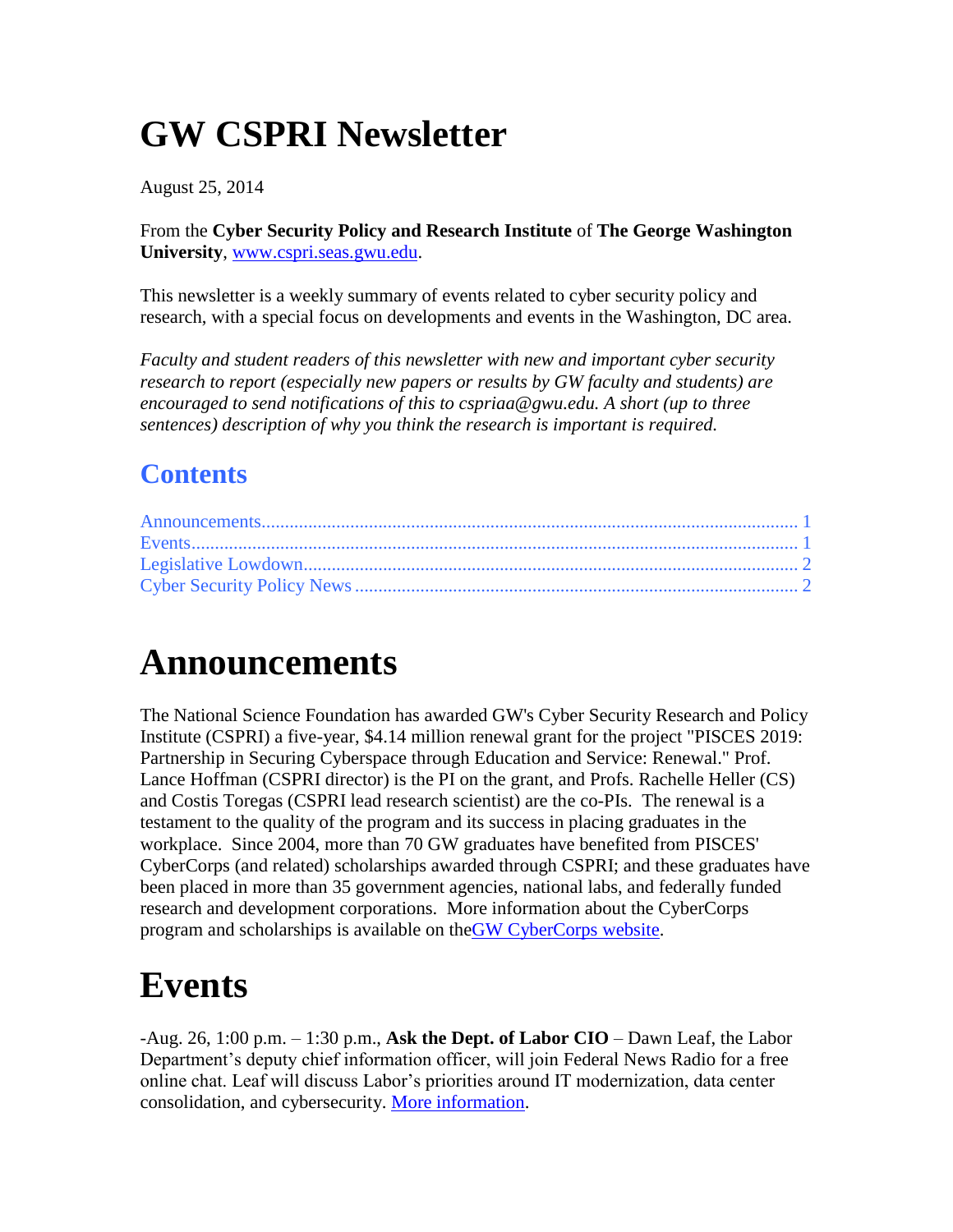# **GW CSPRI Newsletter**

August 25, 2014

From the **Cyber Security Policy and Research Institute** of **The George Washington University**, [www.cspri.seas.gwu.edu.](http://www.cspri.seas.gwu.edu/)

This newsletter is a weekly summary of events related to cyber security policy and research, with a special focus on developments and events in the Washington, DC area.

*Faculty and student readers of this newsletter with new and important cyber security research to report (especially new papers or results by GW faculty and students) are encouraged to send notifications of this to cspriaa@gwu.edu. A short (up to three sentences) description of why you think the research is important is required.*

#### **Contents**

#### <span id="page-0-0"></span>**Announcements**

The National Science Foundation has awarded GW's Cyber Security Research and Policy Institute (CSPRI) a five-year, \$4.14 million renewal grant for the project "PISCES 2019: Partnership in Securing Cyberspace through Education and Service: Renewal." Prof. Lance Hoffman (CSPRI director) is the PI on the grant, and Profs. Rachelle Heller (CS) and Costis Toregas (CSPRI lead research scientist) are the co-PIs. The renewal is a testament to the quality of the program and its success in placing graduates in the workplace. Since 2004, more than 70 GW graduates have benefited from PISCES' CyberCorps (and related) scholarships awarded through CSPRI; and these graduates have been placed in more than 35 government agencies, national labs, and federally funded research and development corporations. More information about the CyberCorps program and scholarships is available on theGW [CyberCorps website.](http://r20.rs6.net/tn.jsp?f=001VPSasDZ2AgAEQ_LBRGm_zSUnVFkHX6X6BUxvpz6iWNyZWAGWxmmYXLQURSqbzGDol_RHnRCzNdUtHpoCVO8i6nr_D9irXn8q3nNWwMtIujl9E_nfKfYkP8b6NvXffENceiSY1RhF6wvMSmNSA8uQ7vNpUyQR1IKWWaWBCTlnXTCo4ScvNprj-fswTNTHWaAL&c=Oq8_qjCUKIHdFbmYlj8Ro_XjECZwR0nY3IgubR8xmmkQs4nrvVPtRw==&ch=ov6Nj1QCO3uArx5vxoLobpcDtMQ8R9GAQvz-Xjjvouk39uHwHnWMUw==)

### <span id="page-0-1"></span>**Events**

-Aug. 26, 1:00 p.m. – 1:30 p.m., **Ask the Dept. of Labor CIO** – Dawn Leaf, the Labor Department's deputy chief information officer, will join Federal News Radio for a free online chat. Leaf will discuss Labor's priorities around IT modernization, data center consolidation, and cybersecurity. [More information.](http://www.federalnewsradio.com/241/3678242/Online-Chat-Ask-the-CIO-with-Labors-Dawn-Leaf)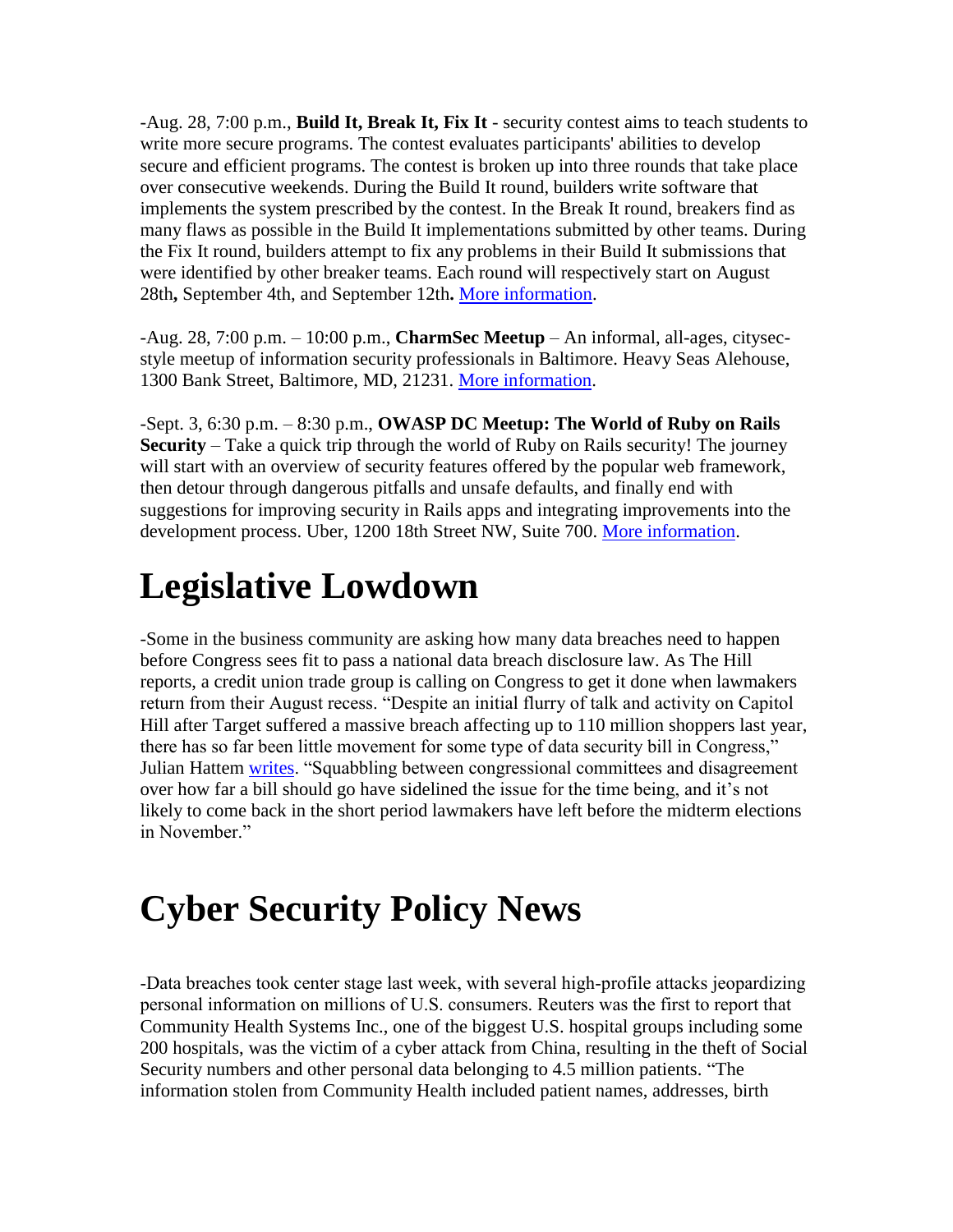-Aug. 28, 7:00 p.m., **Build It, Break It, Fix It** - security contest aims to teach students to write more secure programs. The contest evaluates participants' abilities to develop secure and efficient programs. The contest is broken up into three rounds that take place over consecutive weekends. During the Build It round, builders write software that implements the system prescribed by the contest. In the Break It round, breakers find as many flaws as possible in the Build It implementations submitted by other teams. During the Fix It round, builders attempt to fix any problems in their Build It submissions that were identified by other breaker teams. Each round will respectively start on August 28th**,** September 4th, and September 12th**.** [More information.](https://www.builditbreakit.org/announcements)

-Aug. 28, 7:00 p.m. – 10:00 p.m., **CharmSec Meetup** – An informal, all-ages, citysecstyle meetup of information security professionals in Baltimore. Heavy Seas Alehouse, 1300 Bank Street, Baltimore, MD, 21231. [More information.](http://charmsec.org/)

-Sept. 3, 6:30 p.m. – 8:30 p.m., **OWASP DC Meetup: The World of Ruby on Rails Security** – Take a quick trip through the world of Ruby on Rails security! The journey will start with an overview of security features offered by the popular web framework, then detour through dangerous pitfalls and unsafe defaults, and finally end with suggestions for improving security in Rails apps and integrating improvements into the development process. Uber, 1200 18th Street NW, Suite 700. [More information.](http://www.meetup.com/OWASPDC/events/196158072/)

## <span id="page-1-0"></span>**Legislative Lowdown**

-Some in the business community are asking how many data breaches need to happen before Congress sees fit to pass a national data breach disclosure law. As The Hill reports, a credit union trade group is calling on Congress to get it done when lawmakers return from their August recess. "Despite an initial flurry of talk and activity on Capitol Hill after Target suffered a massive breach affecting up to 110 million shoppers last year, there has so far been little movement for some type of data security bill in Congress," Julian Hattem [writes.](http://thehill.com/policy/technology/215722-credit-unions-anti-hacking-bill-should-be-priority) "Squabbling between congressional committees and disagreement over how far a bill should go have sidelined the issue for the time being, and it's not likely to come back in the short period lawmakers have left before the midterm elections in November."

# <span id="page-1-1"></span>**Cyber Security Policy News**

-Data breaches took center stage last week, with several high-profile attacks jeopardizing personal information on millions of U.S. consumers. Reuters was the first to report that Community Health Systems Inc., one of the biggest U.S. hospital groups including some 200 hospitals, was the victim of a cyber attack from China, resulting in the theft of Social Security numbers and other personal data belonging to 4.5 million patients. "The information stolen from Community Health included patient names, addresses, birth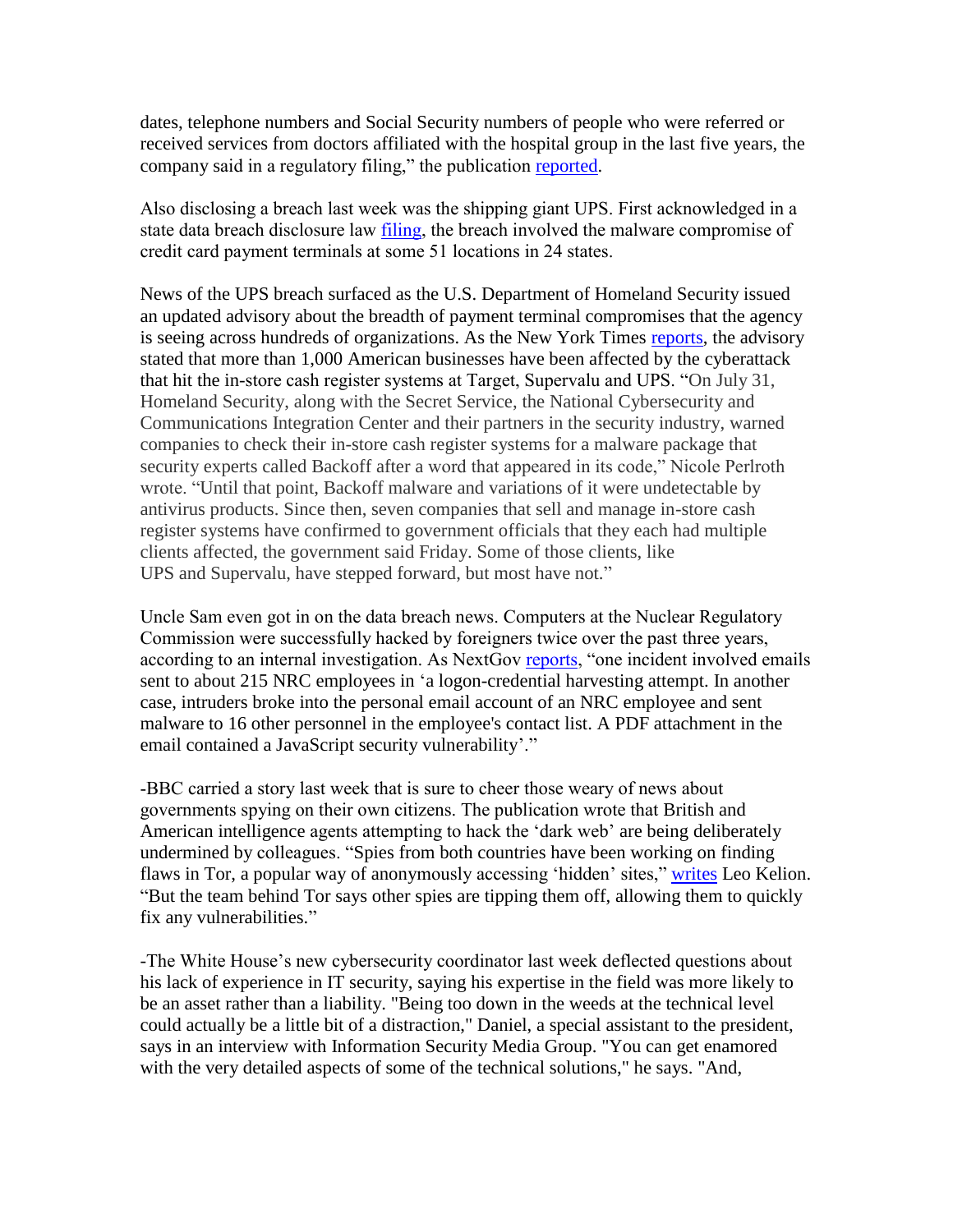dates, telephone numbers and Social Security numbers of people who were referred or received services from doctors affiliated with the hospital group in the last five years, the company said in a regulatory filing," the publication [reported.](http://www.reuters.com/article/2014/08/18/us-community-health-cybersecurity-idUSKBN0GI16N20140818)

Also disclosing a breach last week was the shipping giant UPS. First acknowledged in a state data breach disclosure law [filing,](http://www.theupsstore.com/security/Pages/default.aspx) the breach involved the malware compromise of credit card payment terminals at some 51 locations in 24 states.

News of the UPS breach surfaced as the U.S. Department of Homeland Security issued an updated advisory about the breadth of payment terminal compromises that the agency is seeing across hundreds of organizations. As the New York Times [reports,](http://bits.blogs.nytimes.com/2014/08/22/secret-service-warns-1000-businesses-on-hack-that-affected-target/?_php=true&_type=blogs&_php=true&_type=blogs&partner=rss&emc=rss&smid=tw-nytimes&_r=1&) the advisory stated that more than 1,000 American businesses have been affected by the cyberattack that hit the in-store cash register systems at Target, Supervalu and UPS. "On July 31, Homeland Security, along with the Secret Service, the National Cybersecurity and Communications Integration Center and their partners in the security industry, warned companies to check their in-store cash register systems for a malware package that security experts called Backoff after a word that appeared in its code," Nicole Perlroth wrote. "Until that point, Backoff malware and variations of it were undetectable by antivirus products. Since then, seven companies that sell and manage in-store cash register systems have confirmed to government officials that they each had multiple clients affected, the government said Friday. Some of those clients, like UPS and Supervalu, have stepped forward, but most have not."

Uncle Sam even got in on the data breach news. Computers at the Nuclear Regulatory Commission were successfully hacked by foreigners twice over the past three years, according to an internal investigation. As NextGov [reports,](http://www.nextgov.com/cybersecurity/2014/08/exclusive-nuke-regulator-hacked-suspected-foreign-powers/91643/) "one incident involved emails sent to about 215 NRC employees in 'a logon-credential harvesting attempt. In another case, intruders broke into the personal email account of an NRC employee and sent malware to 16 other personnel in the employee's contact list. A PDF attachment in the email contained a JavaScript security vulnerability'."

-BBC carried a story last week that is sure to cheer those weary of news about governments spying on their own citizens. The publication wrote that British and American intelligence agents attempting to hack the 'dark web' are being deliberately undermined by colleagues. "Spies from both countries have been working on finding flaws in Tor, a popular way of anonymously accessing 'hidden' sites," [writes](http://www.bbc.com/news/technology-28886462) Leo Kelion. "But the team behind Tor says other spies are tipping them off, allowing them to quickly fix any vulnerabilities."

-The White House's new cybersecurity coordinator last week deflected questions about his lack of experience in IT security, saying his expertise in the field was more likely to be an asset rather than a liability. "Being too down in the weeds at the technical level could actually be a little bit of a distraction," Daniel, a special assistant to the president, says in an interview with Information Security Media Group. "You can get enamored with the very detailed aspects of some of the technical solutions," he says. "And,